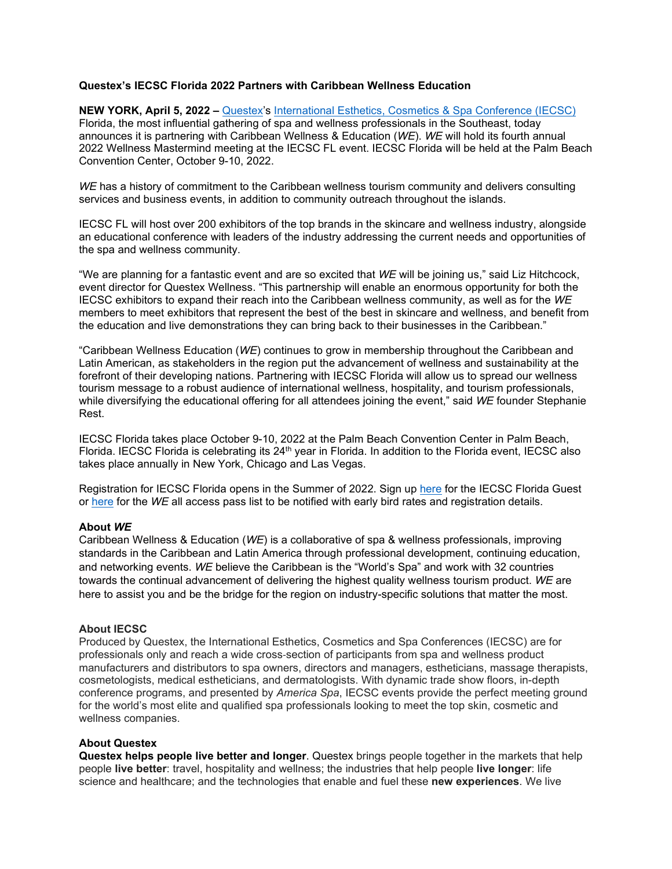## **Questex's IECSC Florida 2022 Partners with Caribbean Wellness Education**

**NEW YORK, April 5, 2022 –** [Questex's](http://www.questex.com/) [International Esthetics, Cosmetics & Spa Conference \(IECSC\)](https://www.iecscflorida.com/) Florida, the most influential gathering of spa and wellness professionals in the Southeast, today announces it is partnering with Caribbean Wellness & Education (*WE*). *WE* will hold its fourth annual 2022 Wellness Mastermind meeting at the IECSC FL event. IECSC Florida will be held at the Palm Beach Convention Center, October 9-10, 2022.

*WE* has a history of commitment to the Caribbean wellness tourism community and delivers consulting services and business events, in addition to community outreach throughout the islands.

IECSC FL will host over 200 exhibitors of the top brands in the skincare and wellness industry, alongside an educational conference with leaders of the industry addressing the current needs and opportunities of the spa and wellness community.

"We are planning for a fantastic event and are so excited that *WE* will be joining us," said Liz Hitchcock, event director for Questex Wellness. "This partnership will enable an enormous opportunity for both the IECSC exhibitors to expand their reach into the Caribbean wellness community, as well as for the *WE* members to meet exhibitors that represent the best of the best in skincare and wellness, and benefit from the education and live demonstrations they can bring back to their businesses in the Caribbean."

"Caribbean Wellness Education (*WE*) continues to grow in membership throughout the Caribbean and Latin American, as stakeholders in the region put the advancement of wellness and sustainability at the forefront of their developing nations. Partnering with IECSC Florida will allow us to spread our wellness tourism message to a robust audience of international wellness, hospitality, and tourism professionals, while diversifying the educational offering for all attendees joining the event," said *WE* founder Stephanie Rest.

IECSC Florida takes place October 9-10, 2022 at the Palm Beach Convention Center in Palm Beach, Florida. IECSC Florida is celebrating its 24<sup>th</sup> year in Florida. In addition to the Florida event, IECSC also takes place annually in New York, Chicago and Las Vegas.

Registration for IECSC Florida opens in the Summer of 2022. Sign up [here](https://www.iecscflorida.com/iecscfloridacom/guest-list) for the IECSC Florida Guest or [here](https://www.accelevents.com/e/WellnessMastermind0) for the *WE* all access pass list to be notified with early bird rates and registration details.

## **About** *WE*

Caribbean Wellness & Education (*WE*) is a collaborative of spa & wellness professionals, improving standards in the Caribbean and Latin America through professional development, continuing education, and networking events. *WE* believe the Caribbean is the "World's Spa" and work with 32 countries towards the continual advancement of delivering the highest quality wellness tourism product. *WE* are here to assist you and be the bridge for the region on industry-specific solutions that matter the most.

## **About IECSC**

Produced by Questex, the International Esthetics, Cosmetics and Spa Conferences (IECSC) are for professionals only and reach a wide cross‐section of participants from spa and wellness product manufacturers and distributors to spa owners, directors and managers, estheticians, massage therapists, cosmetologists, medical estheticians, and dermatologists. With dynamic trade show floors, in-depth conference programs, and presented by *America Spa*, IECSC events provide the perfect meeting ground for the world's most elite and qualified spa professionals looking to meet the top skin, cosmetic and wellness companies.

## **About Questex**

**Questex helps people live better and longer**. Questex brings people together in the markets that help people **live better**: travel, hospitality and wellness; the industries that help people **live longer**: life science and healthcare; and the technologies that enable and fuel these **new experiences**. We live